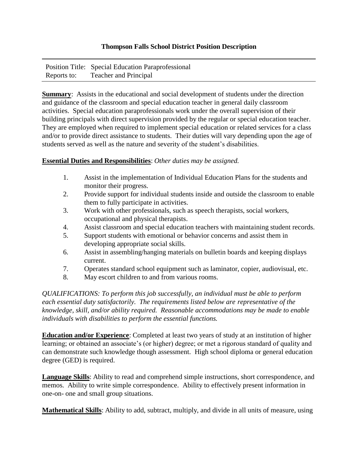## **Thompson Falls School District Position Description**

|             | Position Title: Special Education Paraprofessional |
|-------------|----------------------------------------------------|
| Reports to: | <b>Teacher and Principal</b>                       |

**Summary**: Assists in the educational and social development of students under the direction and guidance of the classroom and special education teacher in general daily classroom activities. Special education paraprofessionals work under the overall supervision of their building principals with direct supervision provided by the regular or special education teacher. They are employed when required to implement special education or related services for a class and/or to provide direct assistance to students. Their duties will vary depending upon the age of students served as well as the nature and severity of the student's disabilities.

## **Essential Duties and Responsibilities**: *Other duties may be assigned.*

- 1. Assist in the implementation of Individual Education Plans for the students and monitor their progress.
- 2. Provide support for individual students inside and outside the classroom to enable them to fully participate in activities.
- 3. Work with other professionals, such as speech therapists, social workers, occupational and physical therapists.
- 4. Assist classroom and special education teachers with maintaining student records.
- 5. Support students with emotional or behavior concerns and assist them in developing appropriate social skills.
- 6. Assist in assembling/hanging materials on bulletin boards and keeping displays current.
- 7. Operates standard school equipment such as laminator, copier, audiovisual, etc.
- 8. May escort children to and from various rooms.

*QUALIFICATIONS: To perform this job successfully, an individual must be able to perform each essential duty satisfactorily. The requirements listed below are representative of the knowledge, skill, and/or ability required. Reasonable accommodations may be made to enable individuals with disabilities to perform the essential functions.* 

**Education and/or Experience**: Completed at least two years of study at an institution of higher learning; or obtained an associate's (or higher) degree; or met a rigorous standard of quality and can demonstrate such knowledge though assessment. High school diploma or general education degree (GED) is required.

**Language Skills**: Ability to read and comprehend simple instructions, short correspondence, and memos. Ability to write simple correspondence. Ability to effectively present information in one-on- one and small group situations.

**Mathematical Skills**: Ability to add, subtract, multiply, and divide in all units of measure, using